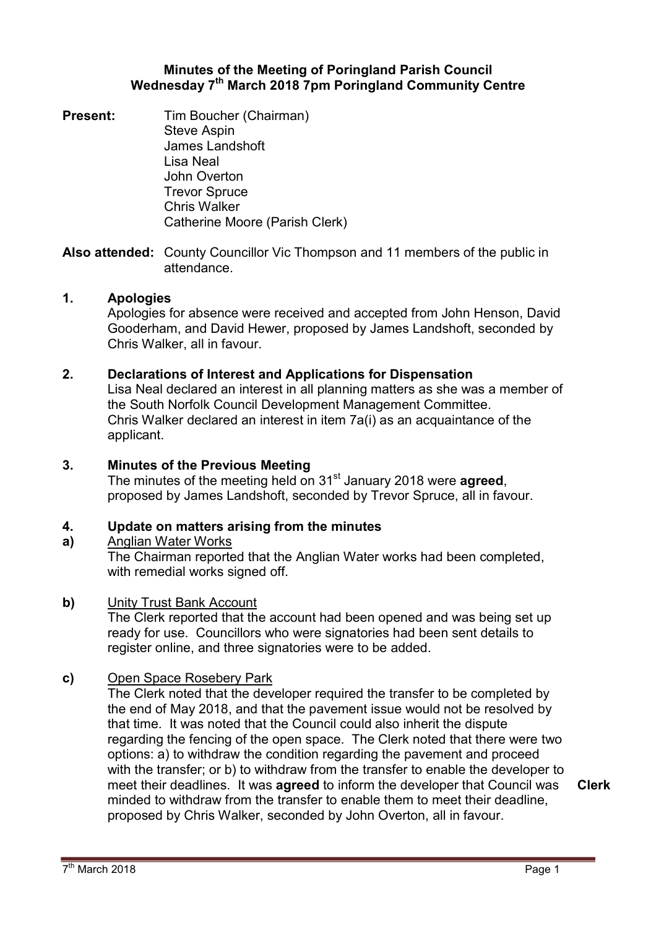# **Minutes of the Meeting of Poringland Parish Council Wednesday 7th March 2018 7pm Poringland Community Centre**

**Present:** Tim Boucher (Chairman) Steve Aspin James Landshoft Lisa Neal John Overton Trevor Spruce Chris Walker Catherine Moore (Parish Clerk)

**Also attended:** County Councillor Vic Thompson and 11 members of the public in attendance.

## **1. Apologies**

Apologies for absence were received and accepted from John Henson, David Gooderham, and David Hewer, proposed by James Landshoft, seconded by Chris Walker, all in favour.

# **2. Declarations of Interest and Applications for Dispensation**

Lisa Neal declared an interest in all planning matters as she was a member of the South Norfolk Council Development Management Committee. Chris Walker declared an interest in item 7a(i) as an acquaintance of the applicant.

### **3. Minutes of the Previous Meeting**

The minutes of the meeting held on 31st January 2018 were **agreed**, proposed by James Landshoft, seconded by Trevor Spruce, all in favour.

#### **4. Update on matters arising from the minutes**

### **a)**  Anglian Water Works

The Chairman reported that the Anglian Water works had been completed, with remedial works signed off.

### **b)** Unity Trust Bank Account

The Clerk reported that the account had been opened and was being set up ready for use. Councillors who were signatories had been sent details to register online, and three signatories were to be added.

### **c)** Open Space Rosebery Park

The Clerk noted that the developer required the transfer to be completed by the end of May 2018, and that the pavement issue would not be resolved by that time. It was noted that the Council could also inherit the dispute regarding the fencing of the open space. The Clerk noted that there were two options: a) to withdraw the condition regarding the pavement and proceed with the transfer; or b) to withdraw from the transfer to enable the developer to meet their deadlines. It was **agreed** to inform the developer that Council was minded to withdraw from the transfer to enable them to meet their deadline, proposed by Chris Walker, seconded by John Overton, all in favour.

**Clerk**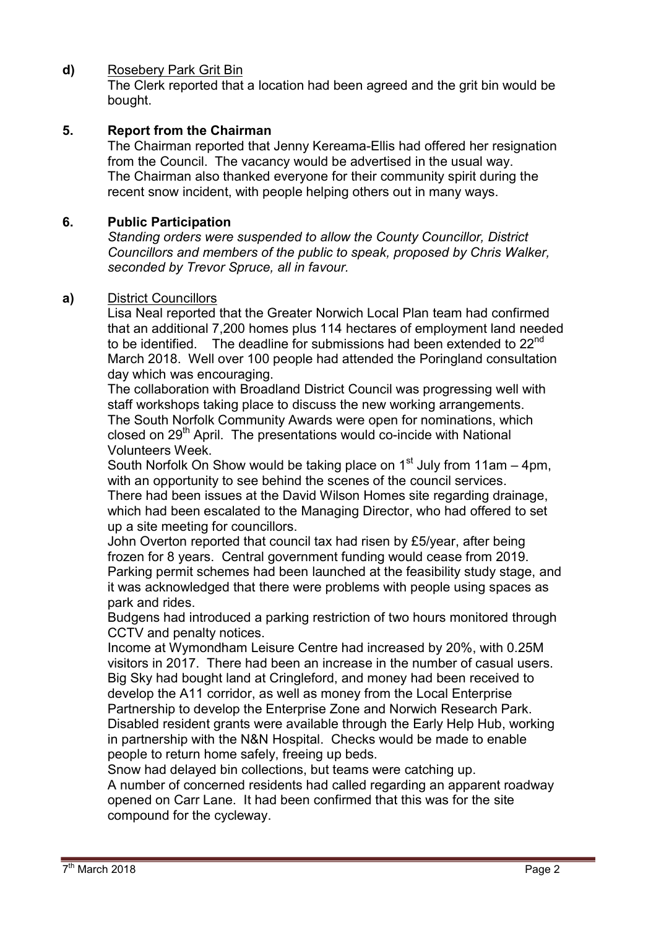# **d)** Rosebery Park Grit Bin

The Clerk reported that a location had been agreed and the grit bin would be bought.

# **5. Report from the Chairman**

The Chairman reported that Jenny Kereama-Ellis had offered her resignation from the Council. The vacancy would be advertised in the usual way. The Chairman also thanked everyone for their community spirit during the recent snow incident, with people helping others out in many ways.

### **6. Public Participation**

*Standing orders were suspended to allow the County Councillor, District Councillors and members of the public to speak, proposed by Chris Walker, seconded by Trevor Spruce, all in favour.* 

### **a)** District Councillors

Lisa Neal reported that the Greater Norwich Local Plan team had confirmed that an additional 7,200 homes plus 114 hectares of employment land needed to be identified. The deadline for submissions had been extended to  $22^{nd}$ March 2018. Well over 100 people had attended the Poringland consultation day which was encouraging.

The collaboration with Broadland District Council was progressing well with staff workshops taking place to discuss the new working arrangements. The South Norfolk Community Awards were open for nominations, which closed on  $29<sup>th</sup>$  April. The presentations would co-incide with National Volunteers Week.

South Norfolk On Show would be taking place on  $1<sup>st</sup>$  July from 11am – 4pm, with an opportunity to see behind the scenes of the council services.

There had been issues at the David Wilson Homes site regarding drainage, which had been escalated to the Managing Director, who had offered to set up a site meeting for councillors.

John Overton reported that council tax had risen by £5/year, after being frozen for 8 years. Central government funding would cease from 2019. Parking permit schemes had been launched at the feasibility study stage, and it was acknowledged that there were problems with people using spaces as park and rides.

Budgens had introduced a parking restriction of two hours monitored through CCTV and penalty notices.

Income at Wymondham Leisure Centre had increased by 20%, with 0.25M visitors in 2017. There had been an increase in the number of casual users. Big Sky had bought land at Cringleford, and money had been received to develop the A11 corridor, as well as money from the Local Enterprise Partnership to develop the Enterprise Zone and Norwich Research Park. Disabled resident grants were available through the Early Help Hub, working in partnership with the N&N Hospital. Checks would be made to enable people to return home safely, freeing up beds.

Snow had delayed bin collections, but teams were catching up. A number of concerned residents had called regarding an apparent roadway opened on Carr Lane. It had been confirmed that this was for the site compound for the cycleway.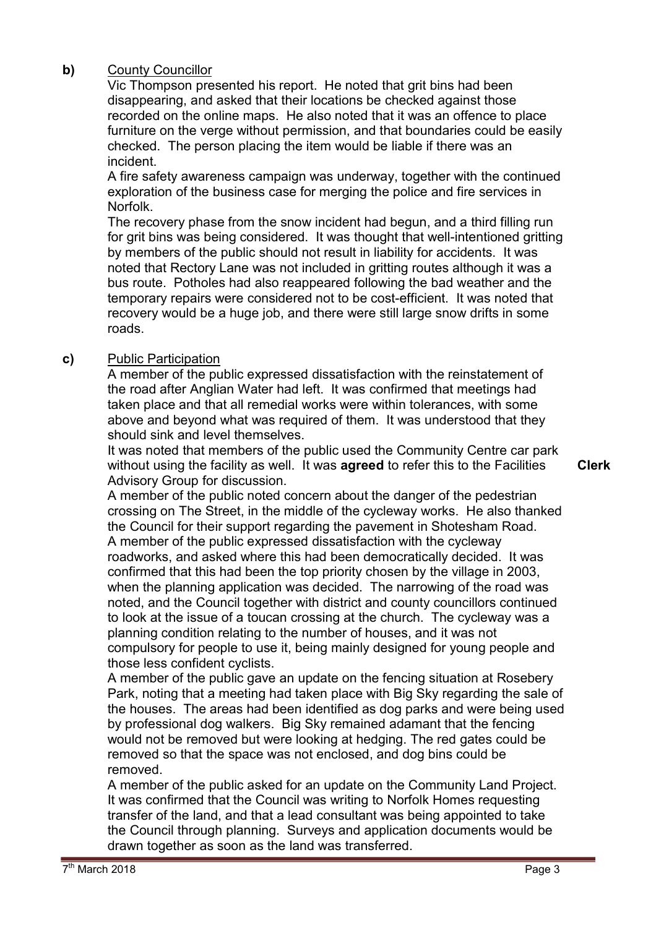# **b)** County Councillor

Vic Thompson presented his report. He noted that grit bins had been disappearing, and asked that their locations be checked against those recorded on the online maps. He also noted that it was an offence to place furniture on the verge without permission, and that boundaries could be easily checked. The person placing the item would be liable if there was an incident.

A fire safety awareness campaign was underway, together with the continued exploration of the business case for merging the police and fire services in Norfolk.

The recovery phase from the snow incident had begun, and a third filling run for grit bins was being considered. It was thought that well-intentioned gritting by members of the public should not result in liability for accidents. It was noted that Rectory Lane was not included in gritting routes although it was a bus route. Potholes had also reappeared following the bad weather and the temporary repairs were considered not to be cost-efficient. It was noted that recovery would be a huge job, and there were still large snow drifts in some roads.

# **c)** Public Participation

A member of the public expressed dissatisfaction with the reinstatement of the road after Anglian Water had left. It was confirmed that meetings had taken place and that all remedial works were within tolerances, with some above and beyond what was required of them. It was understood that they should sink and level themselves.

It was noted that members of the public used the Community Centre car park without using the facility as well. It was **agreed** to refer this to the Facilities Advisory Group for discussion.

**Clerk**

A member of the public noted concern about the danger of the pedestrian crossing on The Street, in the middle of the cycleway works. He also thanked the Council for their support regarding the pavement in Shotesham Road. A member of the public expressed dissatisfaction with the cycleway roadworks, and asked where this had been democratically decided. It was confirmed that this had been the top priority chosen by the village in 2003, when the planning application was decided. The narrowing of the road was noted, and the Council together with district and county councillors continued to look at the issue of a toucan crossing at the church. The cycleway was a planning condition relating to the number of houses, and it was not compulsory for people to use it, being mainly designed for young people and those less confident cyclists.

A member of the public gave an update on the fencing situation at Rosebery Park, noting that a meeting had taken place with Big Sky regarding the sale of the houses. The areas had been identified as dog parks and were being used by professional dog walkers. Big Sky remained adamant that the fencing would not be removed but were looking at hedging. The red gates could be removed so that the space was not enclosed, and dog bins could be removed.

A member of the public asked for an update on the Community Land Project. It was confirmed that the Council was writing to Norfolk Homes requesting transfer of the land, and that a lead consultant was being appointed to take the Council through planning. Surveys and application documents would be drawn together as soon as the land was transferred.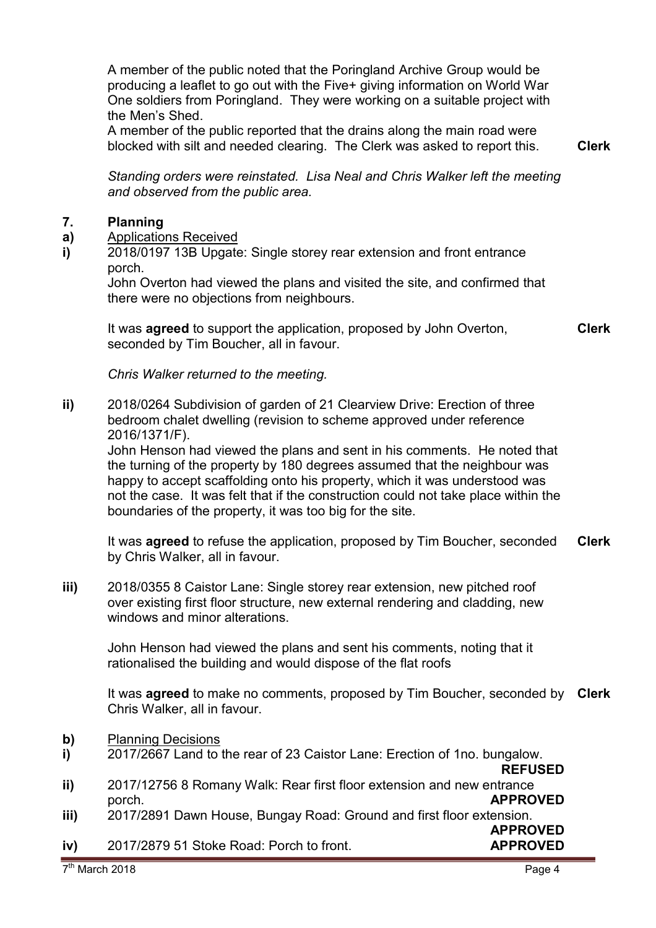**ii)** 

A member of the public noted that the Poringland Archive Group would be producing a leaflet to go out with the Five+ giving information on World War One soldiers from Poringland. They were working on a suitable project with the Men's Shed.

A member of the public reported that the drains along the main road were blocked with silt and needed clearing. The Clerk was asked to report this. **Clerk**

*Standing orders were reinstated. Lisa Neal and Chris Walker left the meeting and observed from the public area.* 

#### **7. Planning**

- **a)**  Applications Received
- **i)**  2018/0197 13B Upgate: Single storey rear extension and front entrance porch.

John Overton had viewed the plans and visited the site, and confirmed that there were no objections from neighbours.

It was **agreed** to support the application, proposed by John Overton, seconded by Tim Boucher, all in favour.

*Chris Walker returned to the meeting.* 

**ii)** 2018/0264 Subdivision of garden of 21 Clearview Drive: Erection of three bedroom chalet dwelling (revision to scheme approved under reference 2016/1371/F).

John Henson had viewed the plans and sent in his comments. He noted that the turning of the property by 180 degrees assumed that the neighbour was happy to accept scaffolding onto his property, which it was understood was not the case. It was felt that if the construction could not take place within the boundaries of the property, it was too big for the site.

It was **agreed** to refuse the application, proposed by Tim Boucher, seconded by Chris Walker, all in favour. **Clerk**

**iii)** 2018/0355 8 Caistor Lane: Single storey rear extension, new pitched roof over existing first floor structure, new external rendering and cladding, new windows and minor alterations.

John Henson had viewed the plans and sent his comments, noting that it rationalised the building and would dispose of the flat roofs

It was **agreed** to make no comments, proposed by Tim Boucher, seconded by **Clerk** Chris Walker, all in favour.

- **b)** Planning Decisions
- **i)**  2017/2667 Land to the rear of 23 Caistor Lane: Erection of 1no. bungalow.

**REFUSED** 2017/12756 8 Romany Walk: Rear first floor extension and new entrance

- porch. **APPROVED**
- **iii)**  2017/2891 Dawn House, Bungay Road: Ground and first floor extension. **APPROVED**

**iv)**  2017/2879 51 Stoke Road: Porch to front. **APPROVED**

**Clerk**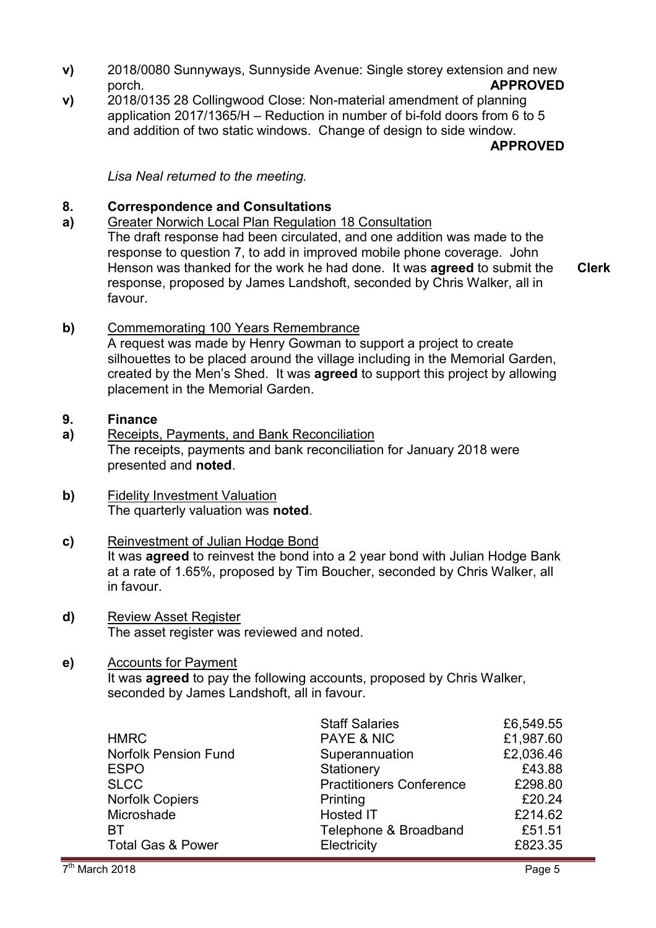- **v)** 2018/0080 Sunnyways, Sunnyside Avenue: Single storey extension and new porch. **APPROVED**
- **v)**  2018/0135 28 Collingwood Close: Non-material amendment of planning application 2017/1365/H – Reduction in number of bi-fold doors from 6 to 5 and addition of two static windows. Change of design to side window.

**APPROVED**

*Lisa Neal returned to the meeting.* 

#### **8. Correspondence and Consultations**

**a)**  Greater Norwich Local Plan Regulation 18 Consultation The draft response had been circulated, and one addition was made to the response to question 7, to add in improved mobile phone coverage. John Henson was thanked for the work he had done. It was **agreed** to submit the response, proposed by James Landshoft, seconded by Chris Walker, all in favour.

**Clerk**

# **b)** Commemorating 100 Years Remembrance

A request was made by Henry Gowman to support a project to create silhouettes to be placed around the village including in the Memorial Garden, created by the Men's Shed. It was **agreed** to support this project by allowing placement in the Memorial Garden.

#### **9. Finance**

- **a)**  Receipts, Payments, and Bank Reconciliation The receipts, payments and bank reconciliation for January 2018 were presented and **noted**.
- **b)** Fidelity Investment Valuation The quarterly valuation was **noted**.
- **c)** Reinvestment of Julian Hodge Bond It was **agreed** to reinvest the bond into a 2 year bond with Julian Hodge Bank at a rate of 1.65%, proposed by Tim Boucher, seconded by Chris Walker, all in favour.
- **d)** Review Asset Register The asset register was reviewed and noted.

### **e)** Accounts for Payment

It was **agreed** to pay the following accounts, proposed by Chris Walker, seconded by James Landshoft, all in favour.

|                              | <b>Staff Salaries</b>           | £6,549.55 |
|------------------------------|---------------------------------|-----------|
| <b>HMRC</b>                  | PAYE & NIC                      | £1,987.60 |
| <b>Norfolk Pension Fund</b>  | Superannuation                  | £2,036.46 |
| <b>ESPO</b>                  | Stationery                      | £43.88    |
| <b>SLCC</b>                  | <b>Practitioners Conference</b> | £298.80   |
| <b>Norfolk Copiers</b>       | Printing                        | £20.24    |
| Microshade                   | <b>Hosted IT</b>                | £214.62   |
| <b>BT</b>                    | Telephone & Broadband           | £51.51    |
| <b>Total Gas &amp; Power</b> | Electricity                     | £823.35   |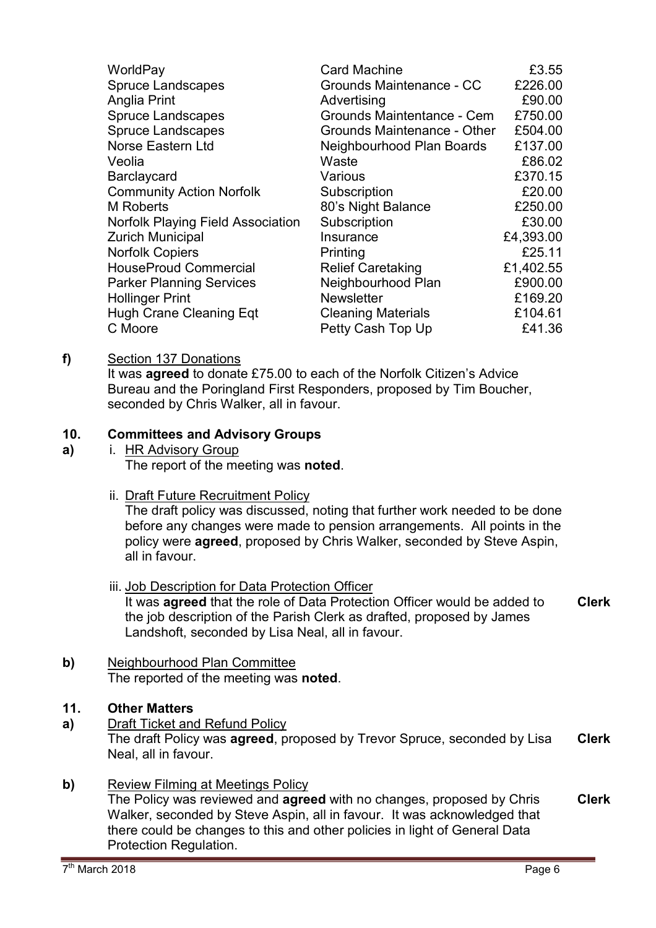| WorldPay                                 | <b>Card Machine</b>         | £3.55     |
|------------------------------------------|-----------------------------|-----------|
| <b>Spruce Landscapes</b>                 | Grounds Maintenance - CC    | £226.00   |
| Anglia Print                             | Advertising                 | £90.00    |
| <b>Spruce Landscapes</b>                 | Grounds Maintentance - Cem  | £750.00   |
| <b>Spruce Landscapes</b>                 | Grounds Maintenance - Other | £504.00   |
| Norse Eastern Ltd                        | Neighbourhood Plan Boards   | £137.00   |
| Veolia                                   | Waste                       | £86.02    |
| Barclaycard                              | Various                     | £370.15   |
| <b>Community Action Norfolk</b>          | Subscription                | £20.00    |
| <b>M</b> Roberts                         | 80's Night Balance          | £250.00   |
| <b>Norfolk Playing Field Association</b> | Subscription                | £30.00    |
| <b>Zurich Municipal</b>                  | Insurance                   | £4,393.00 |
| <b>Norfolk Copiers</b>                   | Printing                    | £25.11    |
| <b>HouseProud Commercial</b>             | <b>Relief Caretaking</b>    | £1,402.55 |
| <b>Parker Planning Services</b>          | Neighbourhood Plan          | £900.00   |
| <b>Hollinger Print</b>                   | <b>Newsletter</b>           | £169.20   |
| <b>Hugh Crane Cleaning Eqt</b>           | <b>Cleaning Materials</b>   | £104.61   |
| C Moore                                  | Petty Cash Top Up           | £41.36    |

# **f)** Section 137 Donations

It was **agreed** to donate £75.00 to each of the Norfolk Citizen's Advice Bureau and the Poringland First Responders, proposed by Tim Boucher, seconded by Chris Walker, all in favour.

#### **10. Committees and Advisory Groups**

- **a)**  i. HR Advisory Group The report of the meeting was **noted**.
	- ii. Draft Future Recruitment Policy

The draft policy was discussed, noting that further work needed to be done before any changes were made to pension arrangements. All points in the policy were **agreed**, proposed by Chris Walker, seconded by Steve Aspin, all in favour.

- iii. Job Description for Data Protection Officer It was **agreed** that the role of Data Protection Officer would be added to the job description of the Parish Clerk as drafted, proposed by James Landshoft, seconded by Lisa Neal, all in favour. **Clerk**
- **b)** Neighbourhood Plan Committee The reported of the meeting was **noted**.
- **11. Other Matters**
- **a)** Draft Ticket and Refund Policy The draft Policy was **agreed**, proposed by Trevor Spruce, seconded by Lisa Neal, all in favour. **Clerk**
- **b)** Review Filming at Meetings Policy

The Policy was reviewed and **agreed** with no changes, proposed by Chris Walker, seconded by Steve Aspin, all in favour. It was acknowledged that there could be changes to this and other policies in light of General Data Protection Regulation. **Clerk**